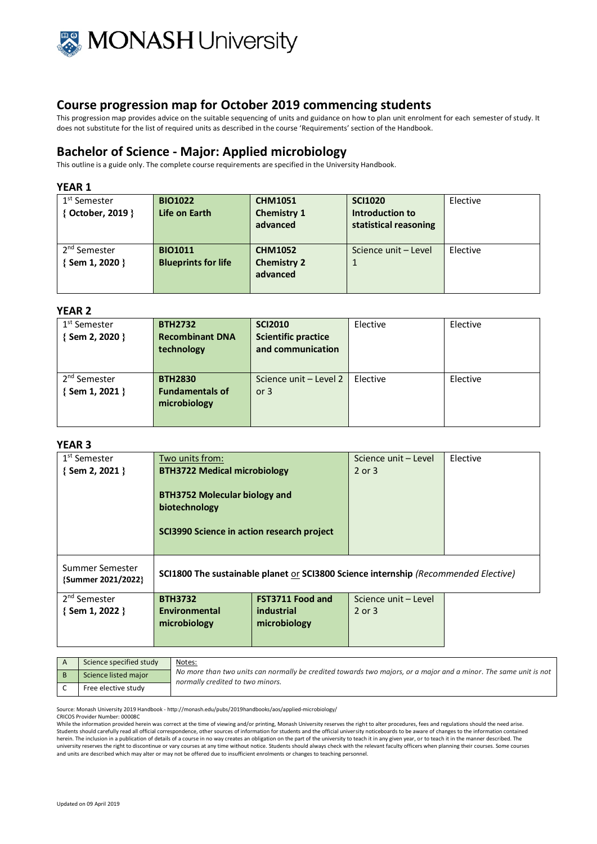

This progression map provides advice on the suitable sequencing of units and guidance on how to plan unit enrolment for each semester of study. It does not substitute for the list of required units as described in the course 'Requirements' section of the Handbook.

## **Bachelor of Science - Major: Applied microbiology**

This outline is a guide only. The complete course requirements are specified in the University Handbook.

## **YEAR 1**

| 1 <sup>st</sup> Semester<br>{ October, 2019 } | <b>BIO1022</b><br>Life on Earth | <b>CHM1051</b><br><b>Chemistry 1</b><br>advanced | <b>SCI1020</b><br>Introduction to<br>statistical reasoning | Elective |
|-----------------------------------------------|---------------------------------|--------------------------------------------------|------------------------------------------------------------|----------|
| 2 <sup>nd</sup> Semester                      | <b>BIO1011</b>                  | <b>CHM1052</b>                                   | Science unit - Level                                       | Elective |
| { Sem 1, 2020 }                               | <b>Blueprints for life</b>      | <b>Chemistry 2</b>                               | 1                                                          |          |
|                                               |                                 | advanced                                         |                                                            |          |
|                                               |                                 |                                                  |                                                            |          |

#### **YEAR 2**

| 1 <sup>st</sup> Semester<br>{Sem 2, 2020 } | <b>BTH2732</b><br><b>Recombinant DNA</b><br>technology   | <b>SCI2010</b><br><b>Scientific practice</b><br>and communication | Elective | Elective |
|--------------------------------------------|----------------------------------------------------------|-------------------------------------------------------------------|----------|----------|
| 2 <sup>nd</sup> Semester<br>{Sem 1, 2021 } | <b>BTH2830</b><br><b>Fundamentals of</b><br>microbiology | Science unit - Level 2<br>or $3$                                  | Elective | Elective |

#### **YEAR 3**

| 1 <sup>st</sup> Semester              | Two units from:                                                                                     |                         | Science unit - Level | Elective |
|---------------------------------------|-----------------------------------------------------------------------------------------------------|-------------------------|----------------------|----------|
| $\{$ Sem 2, 2021 $\}$                 | <b>BTH3722 Medical microbiology</b>                                                                 |                         | $2$ or $3$           |          |
|                                       | <b>BTH3752 Molecular biology and</b><br>biotechnology<br>SCI3990 Science in action research project |                         |                      |          |
| Summer Semester<br>{Summer 2021/2022} | <b>SCI1800 The sustainable planet or SCI3800 Science internship (Recommended Elective)</b>          |                         |                      |          |
| 2 <sup>nd</sup> Semester              | <b>BTH3732</b>                                                                                      | <b>FST3711 Food and</b> | Science unit - Level |          |
| $\{$ Sem 1, 2022 $\}$                 | Environmental                                                                                       | industrial              | 2 or 3               |          |
|                                       | microbiology                                                                                        | microbiology            |                      |          |
|                                       |                                                                                                     |                         |                      |          |

| Science specified study | Notes:<br>No more than two units can normally be credited towards two majors, or a major and a minor. The same unit is not<br>normally credited to two minors. |
|-------------------------|----------------------------------------------------------------------------------------------------------------------------------------------------------------|
| Science listed major    |                                                                                                                                                                |
| Free elective study     |                                                                                                                                                                |

Source: Monash University 2019 Handbook - http://monash.edu/pubs/2019handbooks/aos/applied-microbiology/

CRICOS Provider Number: 00008C

While the information provided herein was correct at the time of viewing and/or printing, Monash University reserves the right to alter procedures, fees and regulations should the need arise. Students should carefully read all official correspondence, other sources of information for students and the official university noticeboards to be aware of changes to the information contained herein. The inclusion in a publication of details of a course in no way creates an obligation on the part of the university to teach it in any given year, or to teach it in the manner described. The university reserves the right to discontinue or vary courses at any time without notice. Students should always check with the relevant faculty officers when planning their courses. Some courses and units are described which may alter or may not be offered due to insufficient enrolments or changes to teaching personnel.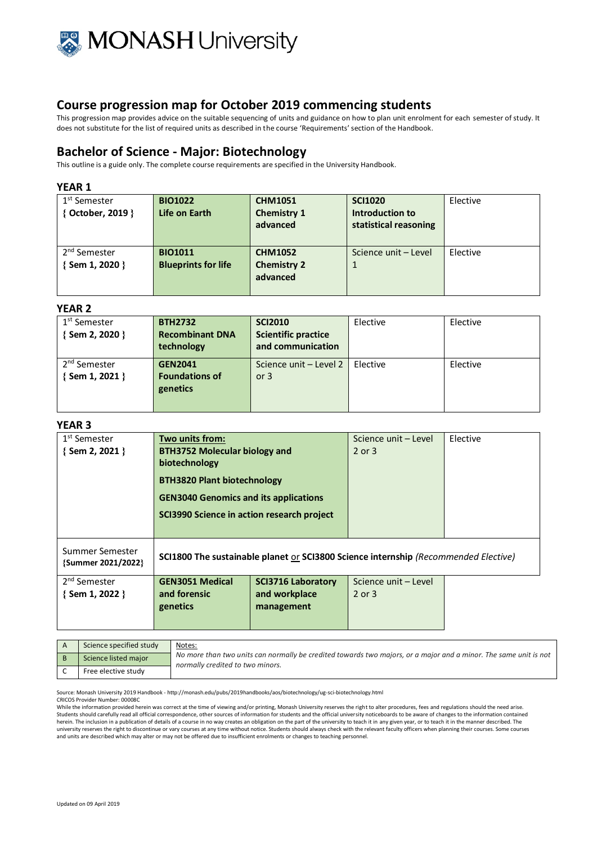

This progression map provides advice on the suitable sequencing of units and guidance on how to plan unit enrolment for each semester of study. It does not substitute for the list of required units as described in the course 'Requirements' section of the Handbook.

## **Bachelor of Science - Major: Biotechnology**

This outline is a guide only. The complete course requirements are specified in the University Handbook.

### **YEAR 1**

| 1 <sup>st</sup> Semester<br>{ October, 2019 } | <b>BIO1022</b><br>Life on Earth              | <b>CHM1051</b><br><b>Chemistry 1</b><br>advanced | <b>SCI1020</b><br>Introduction to<br>statistical reasoning | Elective |
|-----------------------------------------------|----------------------------------------------|--------------------------------------------------|------------------------------------------------------------|----------|
| 2 <sup>nd</sup> Semester<br>{ Sem 1, 2020 }   | <b>BIO1011</b><br><b>Blueprints for life</b> | <b>CHM1052</b><br><b>Chemistry 2</b><br>advanced | Science unit - Level                                       | Elective |

#### **YEAR 2**

| 1 <sup>st</sup> Semester | <b>BTH2732</b>         | <b>SCI2010</b>             | Elective | Elective |
|--------------------------|------------------------|----------------------------|----------|----------|
| $\{$ Sem 2, 2020 $\}$    | <b>Recombinant DNA</b> | <b>Scientific practice</b> |          |          |
|                          | technology             | and communication          |          |          |
| 2 <sup>nd</sup> Semester | <b>GEN2041</b>         | Science unit - Level 2     | Elective | Elective |
| {Sem 1, 2021 }           | <b>Foundations of</b>  | or $3$                     |          |          |
|                          | genetics               |                            |          |          |
|                          |                        |                            |          |          |

#### **YEAR 3**

|                                       | Two units from:<br><b>BTH3752 Molecular biology and</b><br>biotechnology<br><b>BTH3820 Plant biotechnology</b><br><b>GEN3040 Genomics and its applications</b><br>SCI3990 Science in action research project |                                                                                            | 2 or 3               |  |
|---------------------------------------|--------------------------------------------------------------------------------------------------------------------------------------------------------------------------------------------------------------|--------------------------------------------------------------------------------------------|----------------------|--|
| Summer Semester<br>{Summer 2021/2022} |                                                                                                                                                                                                              | <b>SCI1800 The sustainable planet or SCI3800 Science internship (Recommended Elective)</b> |                      |  |
| 2 <sup>nd</sup> Semester              | <b>GEN3051 Medical</b>                                                                                                                                                                                       | <b>SCI3716 Laboratory</b>                                                                  | Science unit - Level |  |
| $\{$ Sem 1, 2022 $\}$                 | and forensic                                                                                                                                                                                                 | and workplace                                                                              | 2 or 3               |  |
|                                       | genetics                                                                                                                                                                                                     | management                                                                                 |                      |  |

| Science specified study | Notes:<br>No more than two units can normally be credited towards two majors, or a major and a minor. The same unit is not<br>normally credited to two minors. |
|-------------------------|----------------------------------------------------------------------------------------------------------------------------------------------------------------|
| Science listed major    |                                                                                                                                                                |
| Free elective study     |                                                                                                                                                                |

Source: Monash University 2019 Handbook - http://monash.edu/pubs/2019handbooks/aos/biotechnology/ug-sci-biotechnology.html

CRICOS Provider Number: 00008C

While the information provided herein was correct at the time of viewing and/or printing, Monash University reserves the right to alter procedures, fees and regulations should the need arise.<br>Students should carefully read herein. The inclusion in a publication of details of a course in no way creates an obligation on the part of the university to teach it in any given year, or to teach it in the manner described. The<br>university reserves the and units are described which may alter or may not be offered due to insufficient enrolments or changes to teaching personnel.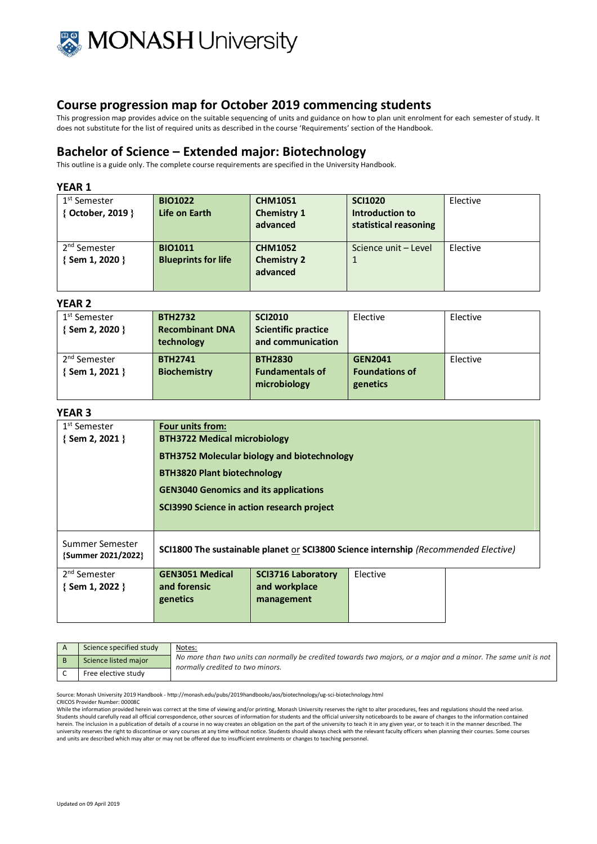

This progression map provides advice on the suitable sequencing of units and guidance on how to plan unit enrolment for each semester of study. It does not substitute for the list of required units as described in the course 'Requirements' section of the Handbook.

## **Bachelor of Science – Extended major: Biotechnology**

This outline is a guide only. The complete course requirements are specified in the University Handbook.

#### **YEAR 1**

| 1 <sup>st</sup> Semester<br>{ October, 2019 } | <b>BIO1022</b><br>Life on Earth              | <b>CHM1051</b><br><b>Chemistry 1</b><br>advanced | <b>SCI1020</b><br>Introduction to<br>statistical reasoning | Elective |
|-----------------------------------------------|----------------------------------------------|--------------------------------------------------|------------------------------------------------------------|----------|
| 2 <sup>nd</sup> Semester<br>{Sem 1, 2020 }    | <b>BIO1011</b><br><b>Blueprints for life</b> | <b>CHM1052</b><br><b>Chemistry 2</b><br>advanced | Science unit - Level                                       | Elective |

### **YEAR 2**

| 1 <sup>st</sup> Semester | <b>BTH2732</b>         | <b>SCI2010</b>             | Elective              | Elective |
|--------------------------|------------------------|----------------------------|-----------------------|----------|
| $\{$ Sem 2, 2020 $\}$    | <b>Recombinant DNA</b> | <b>Scientific practice</b> |                       |          |
|                          | technology             | and communication          |                       |          |
| 2 <sup>nd</sup> Semester | <b>BTH2741</b>         | <b>BTH2830</b>             | <b>GEN2041</b>        | Elective |
| $\{$ Sem 1, 2021 $\}$    | <b>Biochemistry</b>    | <b>Fundamentals of</b>     | <b>Foundations of</b> |          |
|                          |                        | microbiology               | genetics              |          |
|                          |                        |                            |                       |          |

## **YEAR 3**

| 1 <sup>st</sup> Semester<br>$\{$ Sem 2, 2021 $\}$ | <b>Four units from:</b><br><b>BTH3722 Medical microbiology</b>                             |                                    |          |  |
|---------------------------------------------------|--------------------------------------------------------------------------------------------|------------------------------------|----------|--|
|                                                   | <b>BTH3752 Molecular biology and biotechnology</b>                                         |                                    |          |  |
|                                                   |                                                                                            | <b>BTH3820 Plant biotechnology</b> |          |  |
|                                                   | <b>GEN3040 Genomics and its applications</b>                                               |                                    |          |  |
|                                                   | SCI3990 Science in action research project                                                 |                                    |          |  |
|                                                   |                                                                                            |                                    |          |  |
| Summer Semester<br>{Summer 2021/2022}             | <b>SCI1800 The sustainable planet or SCI3800 Science internship (Recommended Elective)</b> |                                    |          |  |
| 2 <sup>nd</sup> Semester                          | <b>GEN3051 Medical</b>                                                                     | <b>SCI3716 Laboratory</b>          | Elective |  |
| $\{$ Sem 1, 2022 $\}$                             | and forensic<br>genetics                                                                   | and workplace<br>management        |          |  |
|                                                   |                                                                                            |                                    |          |  |

| Science specified study | <u>Notes:</u>                                                                                                                                        |
|-------------------------|------------------------------------------------------------------------------------------------------------------------------------------------------|
| Science listed major    | No more than two units can normally be credited towards two majors, or a major and a minor. The same unit is not<br>normally credited to two minors. |
| Free elective study     |                                                                                                                                                      |

Source: Monash University 2019 Handbook - http://monash.edu/pubs/2019handbooks/aos/biotechnology/ug-sci-biotechnology.html

CRICOS Provider Number: 00008C

While the information provided herein was correct at the time of viewing and/or printing. Monash University reserves the right to alter procedures, fees and regulations should the need arise. Students should carefully read all official correspondence, other sources of information for students and the official university noticeboards to be aware of changes to the information contained<br>herein. The inclusion in a university reserves the right to discontinue or vary courses at any time without notice. Students should always check with the relevant faculty officers when planning their courses. Some courses and units are described which may alter or may not be offered due to insufficient enrolments or changes to teaching personnel.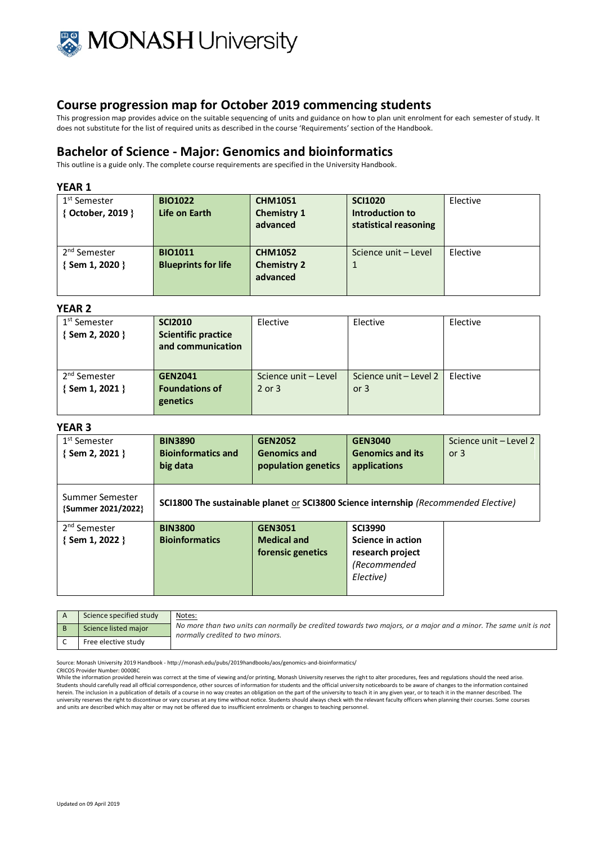

This progression map provides advice on the suitable sequencing of units and guidance on how to plan unit enrolment for each semester of study. It does not substitute for the list of required units as described in the course 'Requirements' section of the Handbook.

## **Bachelor of Science - Major: Genomics and bioinformatics**

This outline is a guide only. The complete course requirements are specified in the University Handbook.

### **YEAR 1**

| 1 <sup>st</sup> Semester<br>{ October, 2019 }     | <b>BIO1022</b><br>Life on Earth              | <b>CHM1051</b><br><b>Chemistry 1</b><br>advanced | <b>SCI1020</b><br>Introduction to<br>statistical reasoning | Elective |
|---------------------------------------------------|----------------------------------------------|--------------------------------------------------|------------------------------------------------------------|----------|
| 2 <sup>nd</sup> Semester<br>$\{$ Sem 1, 2020 $\}$ | <b>BIO1011</b><br><b>Blueprints for life</b> | <b>CHM1052</b><br><b>Chemistry 2</b><br>advanced | Science unit - Level                                       | Elective |

#### **YEAR 2**

| 1 <sup>st</sup> Semester<br>{Sem 2, 2020 } | <b>SCI2010</b><br><b>Scientific practice</b><br>and communication | Elective                           | Elective                         | Elective |
|--------------------------------------------|-------------------------------------------------------------------|------------------------------------|----------------------------------|----------|
| 2 <sup>nd</sup> Semester<br>{Sem 1, 2021 } | <b>GEN2041</b><br><b>Foundations of</b><br>genetics               | Science unit - Level<br>$2$ or $3$ | Science unit – Level 2<br>or $3$ | Elective |

### **YEAR 3**

| 1 <sup>st</sup> Semester<br>$\{$ Sem 2, 2021 $\}$ | <b>BIN3890</b><br><b>Bioinformatics and</b><br>big data | <b>GEN2052</b><br><b>Genomics and</b><br>population genetics | <b>GEN3040</b><br><b>Genomics and its</b><br>applications                           | Science unit - Level 2<br>or $3$ |
|---------------------------------------------------|---------------------------------------------------------|--------------------------------------------------------------|-------------------------------------------------------------------------------------|----------------------------------|
| Summer Semester<br>{Summer 2021/2022}             |                                                         |                                                              | SCI1800 The sustainable planet or SCI3800 Science internship (Recommended Elective) |                                  |
| 2 <sup>nd</sup> Semester                          | <b>BIN3800</b>                                          | <b>GEN3051</b>                                               | <b>SCI3990</b>                                                                      |                                  |
| {Sem 1, 2022 }                                    | <b>Bioinformatics</b>                                   | <b>Medical and</b>                                           | Science in action                                                                   |                                  |
|                                                   |                                                         | forensic genetics                                            | research project                                                                    |                                  |
|                                                   |                                                         |                                                              | (Recommended                                                                        |                                  |
|                                                   |                                                         |                                                              | Elective)                                                                           |                                  |

| Science specified study | Notes:<br>No more than two units can normally be credited towards two majors, or a major and a minor. The same unit is not<br>normally credited to two minors. |
|-------------------------|----------------------------------------------------------------------------------------------------------------------------------------------------------------|
| Science listed major    |                                                                                                                                                                |
| Free elective study     |                                                                                                                                                                |

Source: Monash University 2019 Handbook - http://monash.edu/pubs/2019handbooks/aos/genomics-and-bioinformatics/

CRICOS Provider Number: 00008C

While the information provided herein was correct at the time of viewing and/or printing, Monash University reserves the right to alter procedures, fees and regulations should the need arise. Students should carefully read all official correspondence, other sources of information for students and the official university noticeboards to be aware of changes to the information contained herein. The inclusion in a publication of details of a course in no way creates an obligation on the part of the university to teach it in any given year, or to teach it in the manner described. The university reserves the right to discontinue or vary courses at any time without notice. Students should always check with the relevant faculty officers when planning their courses. Some courses and units are described which may alter or may not be offered due to insufficient enrolments or changes to teaching personnel.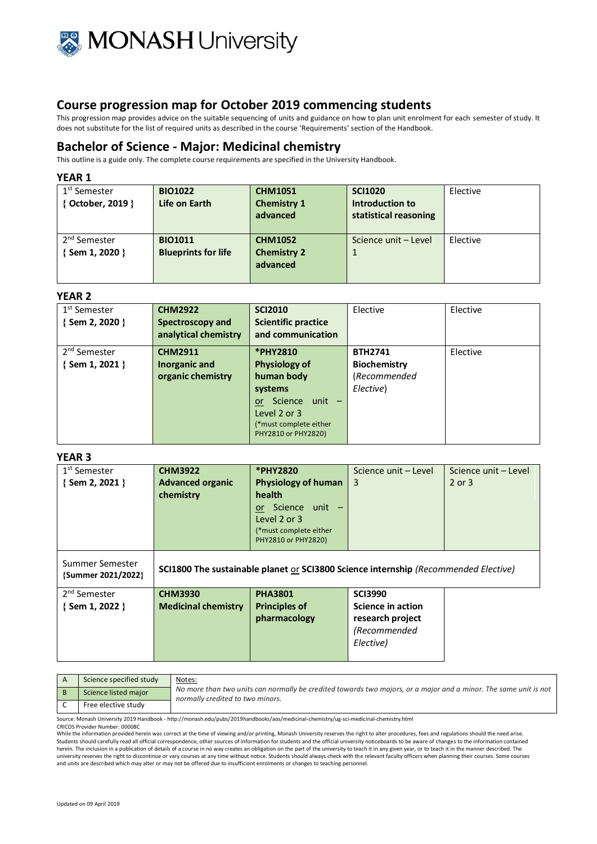

This progression map provides advice on the suitable sequencing of units and guidance on how to plan unit enrolment for each semester of study. It does not substitute for the list of required units as described in the course 'Requirements' section of the Handbook.

## **Bachelor of Science - Major: Medicinal chemistry**

This outline is a guide only. The complete course requirements are specified in the University Handbook.

#### **YEAR 1**

| 1 <sup>st</sup> Semester<br>{ October, 2019 } | <b>BIO1022</b><br>Life on Earth              | <b>CHM1051</b><br><b>Chemistry 1</b><br>advanced | <b>SCI1020</b><br>Introduction to<br>statistical reasoning | Elective |
|-----------------------------------------------|----------------------------------------------|--------------------------------------------------|------------------------------------------------------------|----------|
| 2 <sup>nd</sup> Semester<br>{Sem 1, 2020 }    | <b>BIO1011</b><br><b>Blueprints for life</b> | <b>CHM1052</b><br><b>Chemistry 2</b><br>advanced | Science unit - Level                                       | Elective |

#### **YEAR 2**

| 1 <sup>st</sup> Semester<br>{Sem 2, 2020 } | <b>CHM2922</b><br>Spectroscopy and<br>analytical chemistry | <b>SCI2010</b><br><b>Scientific practice</b><br>and communication | Elective            | Elective |
|--------------------------------------------|------------------------------------------------------------|-------------------------------------------------------------------|---------------------|----------|
| 2 <sup>nd</sup> Semester                   | <b>CHM2911</b>                                             | *PHY2810                                                          | <b>BTH2741</b>      | Elective |
| $\{$ Sem 1, 2021 $\}$                      | Inorganic and                                              | <b>Physiology of</b>                                              | <b>Biochemistry</b> |          |
|                                            | organic chemistry                                          | human body                                                        | (Recommended        |          |
|                                            |                                                            | systems                                                           | Elective)           |          |
|                                            |                                                            | Science unit -<br><b>or</b>                                       |                     |          |
|                                            |                                                            | Level 2 or 3                                                      |                     |          |
|                                            |                                                            | (*must complete either<br>PHY2810 or PHY2820)                     |                     |          |

### **YEAR 3**

| 1 <sup>st</sup> Semester<br>$\{$ Sem 2, 2021 $\}$ | <b>CHM3922</b><br><b>Advanced organic</b><br>chemistry                              | *PHY2820<br><b>Physiology of human</b><br><b>health</b><br>or Science unit -<br>Level 2 or 3<br>(*must complete either<br>PHY2810 or PHY2820) | Science unit - Level<br>3                                                            | Science unit - Level<br>$2$ or $3$ |
|---------------------------------------------------|-------------------------------------------------------------------------------------|-----------------------------------------------------------------------------------------------------------------------------------------------|--------------------------------------------------------------------------------------|------------------------------------|
| Summer Semester<br>{Summer 2021/2022}             | SCI1800 The sustainable planet or SCI3800 Science internship (Recommended Elective) |                                                                                                                                               |                                                                                      |                                    |
| 2 <sup>nd</sup> Semester<br>$\{$ Sem 1, 2022 $\}$ | <b>CHM3930</b><br><b>Medicinal chemistry</b>                                        | <b>PHA3801</b><br><b>Principles of</b><br>pharmacology                                                                                        | <b>SCI3990</b><br>Science in action<br>research project<br>(Recommended<br>Elective) |                                    |

| Science specified study                                                                                                              | Notes:                                                                                                                                               |  |
|--------------------------------------------------------------------------------------------------------------------------------------|------------------------------------------------------------------------------------------------------------------------------------------------------|--|
| Science listed major                                                                                                                 | No more than two units can normally be credited towards two majors, or a major and a minor. The same unit is not<br>normally credited to two minors. |  |
| Free elective study                                                                                                                  |                                                                                                                                                      |  |
| Courses Manash University 2010 Handbook http://manash.odu/nubs/2010handbooks/aes/medicinal.chemistry/ug.sci.medicinal.chemistry.html |                                                                                                                                                      |  |

Source: Monash University 2019 Handbook - http://monash.edu/pubs/2019handbooks/aos/medicinal-chemistry/ug-sci-medicinal-chemistry.html

CRICOS Provider Number: 00008C

While the information provided herein was correct at the time of viewing and/or printing, Monash University reserves the right to alter procedures, fees and regulations should the need arise. Students should carefully read all official correspondence, other sources of information for students and the official university noticeboards to be aware of changes to the information contained herein. The inclusion in a publication of details of a course in no way creates an obligation on the part of the university to teach it in any given year, or to teach it in the manner described. The university reserves the right to discontinue or vary courses at any time without notice. Students should always check with the relevant faculty officers when planning their courses. Some courses<br>and units are described whi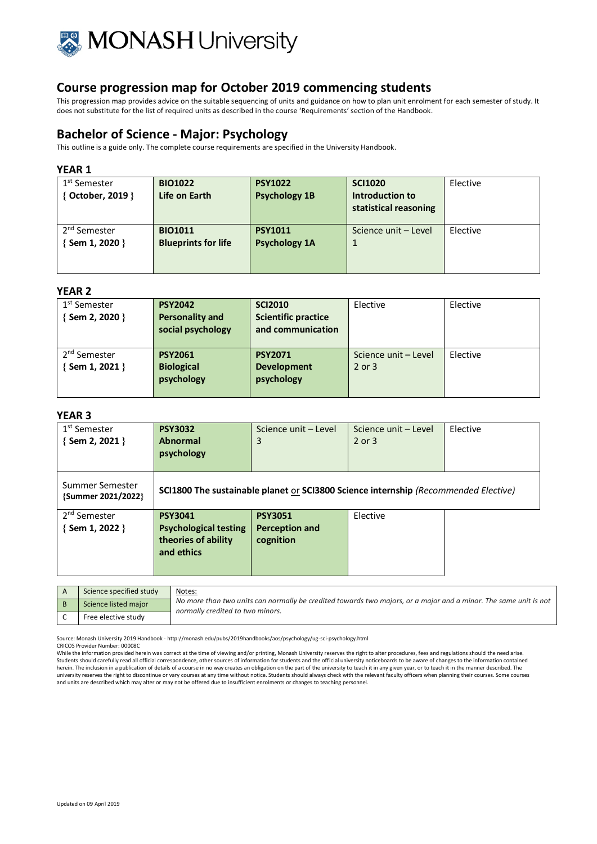

This progression map provides advice on the suitable sequencing of units and guidance on how to plan unit enrolment for each semester of study. It does not substitute for the list of required units as described in the course 'Requirements' section of the Handbook.

# **Bachelor of Science - Major: Psychology**

This outline is a guide only. The complete course requirements are specified in the University Handbook.

### **YEAR 1**

| 1 <sup>st</sup> Semester<br>October, 2019 } | <b>BIO1022</b><br>Life on Earth | <b>PSY1022</b><br><b>Psychology 1B</b> | <b>SCI1020</b><br>Introduction to<br>statistical reasoning | Elective |
|---------------------------------------------|---------------------------------|----------------------------------------|------------------------------------------------------------|----------|
| 2 <sup>nd</sup> Semester                    | <b>BIO1011</b>                  | <b>PSY1011</b>                         | Science unit - Level                                       | Elective |
| Sem 1, 2020 }                               | <b>Blueprints for life</b>      | <b>Psychology 1A</b>                   | 1                                                          |          |

### **YEAR 2**

| 1 <sup>st</sup> Semester<br>{Sem 2, 2020 } | <b>PSY2042</b><br><b>Personality and</b><br>social psychology | <b>SCI2010</b><br><b>Scientific practice</b><br>and communication | Elective                           | Elective |
|--------------------------------------------|---------------------------------------------------------------|-------------------------------------------------------------------|------------------------------------|----------|
| 2 <sup>nd</sup> Semester<br>{Sem 1, 2021 } | <b>PSY2061</b><br><b>Biological</b><br>psychology             | <b>PSY2071</b><br><b>Development</b><br>psychology                | Science unit - Level<br>$2$ or $3$ | Elective |

## **YEAR 3**

| 1 <sup>st</sup> Semester<br>{Sem 2, 2021 }        | <b>PSY3032</b><br><b>Abnormal</b><br>psychology                                     | Science unit - Level<br>3                                                           | Science unit - Level<br>$2$ or $3$ | Elective |
|---------------------------------------------------|-------------------------------------------------------------------------------------|-------------------------------------------------------------------------------------|------------------------------------|----------|
| Summer Semester<br>{Summer 2021/2022}             |                                                                                     | SCI1800 The sustainable planet or SCI3800 Science internship (Recommended Elective) |                                    |          |
| 2 <sup>nd</sup> Semester<br>$\{$ Sem 1, 2022 $\}$ | <b>PSY3041</b><br><b>Psychological testing</b><br>theories of ability<br>and ethics | <b>PSY3051</b><br><b>Perception and</b><br>cognition                                | Elective                           |          |

| Science specified study | Notes:                                                                                                                                               |
|-------------------------|------------------------------------------------------------------------------------------------------------------------------------------------------|
| Science listed major    | No more than two units can normally be credited towards two majors, or a major and a minor. The same unit is not<br>normally credited to two minors. |
| Free elective study     |                                                                                                                                                      |

Source: Monash University 2019 Handbook - http://monash.edu/pubs/2019handbooks/aos/psychology/ug-sci-psychology.html

CRICOS Provider Number: 00008C

While the information provided herein was correct at the time of viewing and/or printing, Monash University reserves the right to alter procedures, fees and regulations should the need arise. Students should carefully read all official correspondence, other sources of information for students and the official university noticeboards to be aware of changes to the information contained<br>herein. The inclusion in a university reserves the right to discontinue or vary courses at any time without notice. Students should always check with the relevant faculty officers when planning their courses. Some courses at any time without notice. and units are described which may alter or may not be offered due to insufficient enrolments or changes to teaching personnel.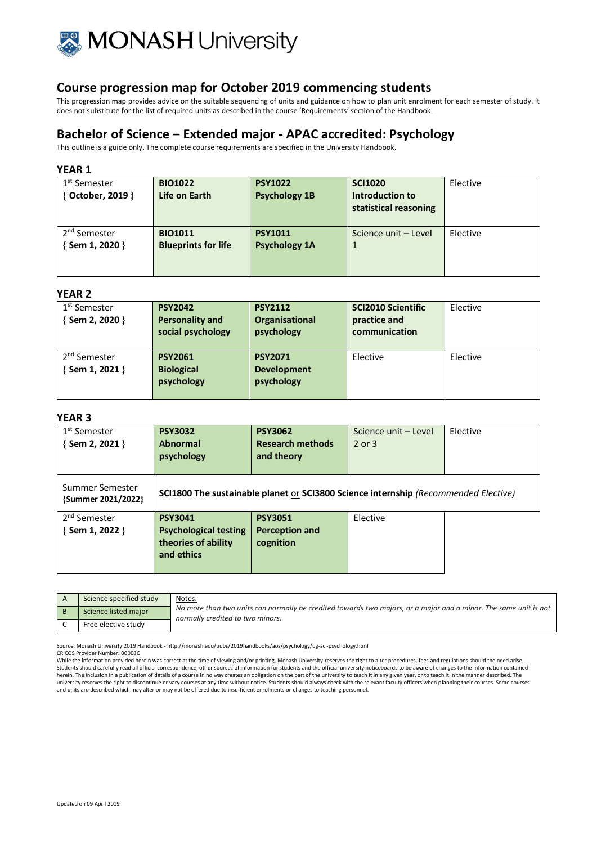

This progression map provides advice on the suitable sequencing of units and guidance on how to plan unit enrolment for each semester of study. It does not substitute for the list of required units as described in the course 'Requirements' section of the Handbook.

## **Bachelor of Science – Extended major - APAC accredited: Psychology**

This outline is a guide only. The complete course requirements are specified in the University Handbook.

### **YEAR 1**

| 1 <sup>st</sup> Semester | <b>BIO1022</b>             | <b>PSY1022</b>       | <b>SCI1020</b>        | Elective |
|--------------------------|----------------------------|----------------------|-----------------------|----------|
| { October, 2019 }        | Life on Earth              | <b>Psychology 1B</b> | Introduction to       |          |
|                          |                            |                      | statistical reasoning |          |
|                          |                            |                      |                       |          |
| 2 <sup>nd</sup> Semester | <b>BIO1011</b>             | <b>PSY1011</b>       | Science unit - Level  | Elective |
| {Sem 1, 2020 }           | <b>Blueprints for life</b> | <b>Psychology 1A</b> |                       |          |
|                          |                            |                      |                       |          |
|                          |                            |                      |                       |          |

### **YEAR 2**

| 1 <sup>st</sup> Semester<br>Sem 2, 2020 } | <b>PSY2042</b><br><b>Personality and</b><br>social psychology | <b>PSY2112</b><br>Organisational<br>psychology     | <b>SCI2010 Scientific</b><br>practice and<br>communication | Elective |
|-------------------------------------------|---------------------------------------------------------------|----------------------------------------------------|------------------------------------------------------------|----------|
| 2 <sup>nd</sup> Semester<br>Sem 1, 2021 } | <b>PSY2061</b><br><b>Biological</b><br>psychology             | <b>PSY2071</b><br><b>Development</b><br>psychology | Elective                                                   | Elective |

### **YEAR 3**

| 1 <sup>st</sup> Semester<br>$\{$ Sem 2, 2021 $\}$ | <b>PSY3032</b><br><b>Abnormal</b><br>psychology                                            | <b>PSY3062</b><br><b>Research methods</b><br>and theory | Science unit - Level<br>$2$ or $3$ | Elective |
|---------------------------------------------------|--------------------------------------------------------------------------------------------|---------------------------------------------------------|------------------------------------|----------|
| Summer Semester<br>{Summer 2021/2022}             | <b>SCI1800 The sustainable planet or SCI3800 Science internship (Recommended Elective)</b> |                                                         |                                    |          |
| 2 <sup>nd</sup> Semester<br>$\{$ Sem 1, 2022 $\}$ | <b>PSY3041</b><br><b>Psychological testing</b><br>theories of ability<br>and ethics        | <b>PSY3051</b><br><b>Perception and</b><br>cognition    | Elective                           |          |

| Science specified study | Notes:                                                                                                                                               |
|-------------------------|------------------------------------------------------------------------------------------------------------------------------------------------------|
| Science listed major    | No more than two units can normally be credited towards two majors, or a major and a minor. The same unit is not<br>normally credited to two minors. |
| Free elective study     |                                                                                                                                                      |

Source: Monash University 2019 Handbook - http://monash.edu/pubs/2019handbooks/aos/psychology/ug-sci-psychology.html

CRICOS Provider Number: 00008C

While the information provided herein was correct at the time of viewing and/or printing, Monash University reserves the right to alter procedures, fees and regulations should the need arise. Students should carefully read all official correspondence, other sources of information for students and the official university noticeboards to be aware of changes to the information contained herein. The inclusion in a publication of details of a course in no way creates an obligation on the part of the university to teach it in any given year, or to teach it in the manner described. The university reserves the right to discontinue or vary courses at any time without notice. Students should always check with the relevant faculty officers when planning their courses. Some courses and units are described which may alter or may not be offered due to insufficient enrolments or changes to teaching personnel.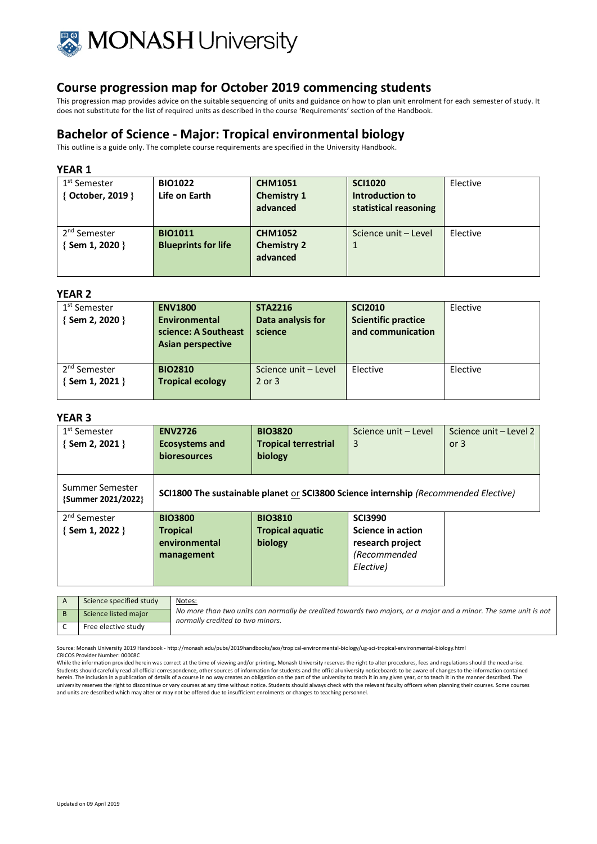

This progression map provides advice on the suitable sequencing of units and guidance on how to plan unit enrolment for each semester of study. It does not substitute for the list of required units as described in the course 'Requirements' section of the Handbook.

# **Bachelor of Science - Major: Tropical environmental biology**

This outline is a guide only. The complete course requirements are specified in the University Handbook.

### **YEAR 1**

| 1 <sup>st</sup> Semester<br>October, 2019 } | <b>BIO1022</b><br>Life on Earth              | <b>CHM1051</b><br><b>Chemistry 1</b><br>advanced | <b>SCI1020</b><br>Introduction to<br>statistical reasoning | Elective |
|---------------------------------------------|----------------------------------------------|--------------------------------------------------|------------------------------------------------------------|----------|
| 2 <sup>nd</sup> Semester<br>Sem 1, 2020 }   | <b>BIO1011</b><br><b>Blueprints for life</b> | <b>CHM1052</b><br><b>Chemistry 2</b><br>advanced | Science unit – Level                                       | Elective |

### **YEAR 2**

| 1 <sup>st</sup> Semester<br>Sem 2, 2020 } | <b>ENV1800</b><br>Environmental<br>science: A Southeast<br>Asian perspective | <b>STA2216</b><br>Data analysis for<br>science | <b>SCI2010</b><br><b>Scientific practice</b><br>and communication | Elective |
|-------------------------------------------|------------------------------------------------------------------------------|------------------------------------------------|-------------------------------------------------------------------|----------|
| 2 <sup>nd</sup> Semester<br>Sem 1, 2021 } | <b>BIO2810</b><br><b>Tropical ecology</b>                                    | Science unit - Level<br>$2$ or $3$             | Elective                                                          | Elective |

### **YEAR 3**

| 1 <sup>st</sup> Semester<br>$\{$ Sem 2, 2021 $\}$ | <b>ENV2726</b><br><b>Ecosystems and</b><br><b>bioresources</b> | <b>BIO3820</b><br><b>Tropical terrestrial</b><br>biology                            | Science unit - Level<br>3 | Science unit - Level 2<br>or $3$ |
|---------------------------------------------------|----------------------------------------------------------------|-------------------------------------------------------------------------------------|---------------------------|----------------------------------|
| Summer Semester<br>{Summer 2021/2022}             |                                                                | SCI1800 The sustainable planet or SCI3800 Science internship (Recommended Elective) |                           |                                  |
| 2 <sup>nd</sup> Semester                          | <b>BIO3800</b>                                                 | <b>BIO3810</b>                                                                      | <b>SCI3990</b>            |                                  |
| $\{$ Sem 1, 2022 $\}$                             | <b>Tropical</b>                                                | <b>Tropical aquatic</b>                                                             | Science in action         |                                  |
|                                                   | environmental                                                  | biology                                                                             | research project          |                                  |
|                                                   | management                                                     |                                                                                     | (Recommended              |                                  |
|                                                   |                                                                |                                                                                     | Elective)                 |                                  |

| Science specified study | Notes:                                                                                                                                               |
|-------------------------|------------------------------------------------------------------------------------------------------------------------------------------------------|
| Science listed major    | No more than two units can normally be credited towards two majors, or a major and a minor. The same unit is not<br>normally credited to two minors. |
| Free elective study     |                                                                                                                                                      |

Source: Monash University 2019 Handbook - http://monash.edu/pubs/2019handbooks/aos/tropical-environmental-biology/ug-sci-tropical-environmental-biology.html CRICOS Provider Number: 00008C

While the information provided herein was correct at the time of viewing and/or printing, Monash University reserves the right to alter procedures, fees and regulations should the need arise. Students should carefully read all official correspondence, other sources of information for students and the official university noticeboards to be aware of changes to the information contained<br>herein. The inclusion in a university reserves the right to discontinue or vary courses at any time without notice. Students should always check with the relevant faculty officers when planning their courses. Some courses and units are described which may alter or may not be offered due to insufficient enrolments or changes to teaching personnel.